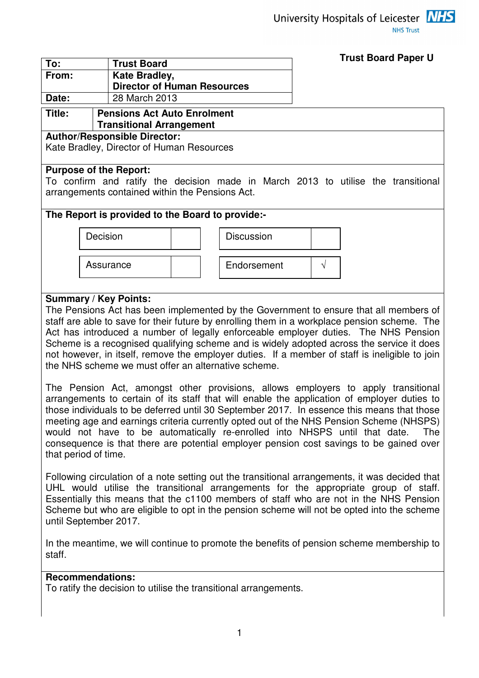University Hospitals of Leicester **NHS NHS Trust** 



| ∣ To: | <b>Trust Board</b>                 |
|-------|------------------------------------|
| From: | <b>Kate Bradley,</b>               |
|       | <b>Director of Human Resources</b> |
| Date: | 28 March 2013                      |

#### **Title: Pensions Act Auto Enrolment Transitional Arrangement**

# **Author/Responsible Director:**

Kate Bradley, Director of Human Resources

#### **Purpose of the Report:**

To confirm and ratify the decision made in March 2013 to utilise the transitional arrangements contained within the Pensions Act.

### **The Report is provided to the Board to provide:-**





### **Summary / Key Points:**

The Pensions Act has been implemented by the Government to ensure that all members of staff are able to save for their future by enrolling them in a workplace pension scheme. The Act has introduced a number of legally enforceable employer duties. The NHS Pension Scheme is a recognised qualifying scheme and is widely adopted across the service it does not however, in itself, remove the employer duties. If a member of staff is ineligible to join the NHS scheme we must offer an alternative scheme.

The Pension Act, amongst other provisions, allows employers to apply transitional arrangements to certain of its staff that will enable the application of employer duties to those individuals to be deferred until 30 September 2017. In essence this means that those meeting age and earnings criteria currently opted out of the NHS Pension Scheme (NHSPS) would not have to be automatically re-enrolled into NHSPS until that date. The consequence is that there are potential employer pension cost savings to be gained over that period of time.

Following circulation of a note setting out the transitional arrangements, it was decided that UHL would utilise the transitional arrangements for the appropriate group of staff. Essentially this means that the c1100 members of staff who are not in the NHS Pension Scheme but who are eligible to opt in the pension scheme will not be opted into the scheme until September 2017.

In the meantime, we will continue to promote the benefits of pension scheme membership to staff.

#### **Recommendations:**

To ratify the decision to utilise the transitional arrangements.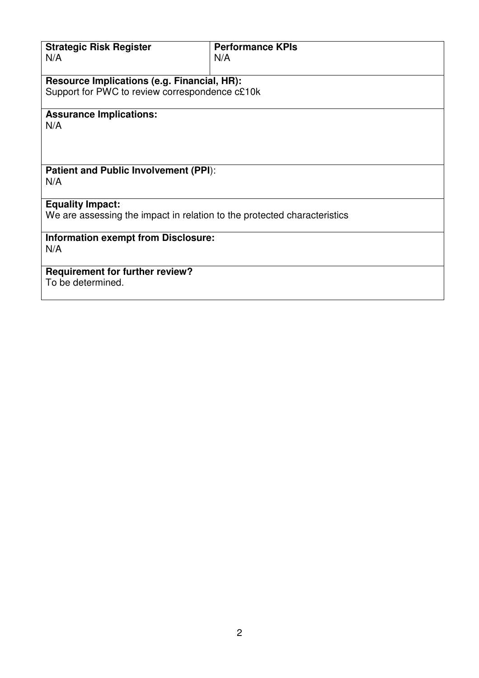| <b>Strategic Risk Register</b>                                           | <b>Performance KPIs</b> |  |
|--------------------------------------------------------------------------|-------------------------|--|
| N/A                                                                      | N/A                     |  |
|                                                                          |                         |  |
|                                                                          |                         |  |
| Resource Implications (e.g. Financial, HR):                              |                         |  |
| Support for PWC to review correspondence c£10k                           |                         |  |
|                                                                          |                         |  |
| <b>Assurance Implications:</b>                                           |                         |  |
| N/A                                                                      |                         |  |
|                                                                          |                         |  |
|                                                                          |                         |  |
|                                                                          |                         |  |
|                                                                          |                         |  |
| <b>Patient and Public Involvement (PPI):</b>                             |                         |  |
| N/A                                                                      |                         |  |
|                                                                          |                         |  |
|                                                                          |                         |  |
| <b>Equality Impact:</b>                                                  |                         |  |
| We are assessing the impact in relation to the protected characteristics |                         |  |
|                                                                          |                         |  |
| <b>Information exempt from Disclosure:</b>                               |                         |  |
|                                                                          |                         |  |
| N/A                                                                      |                         |  |
|                                                                          |                         |  |
| <b>Requirement for further review?</b>                                   |                         |  |
| To be determined.                                                        |                         |  |
|                                                                          |                         |  |
|                                                                          |                         |  |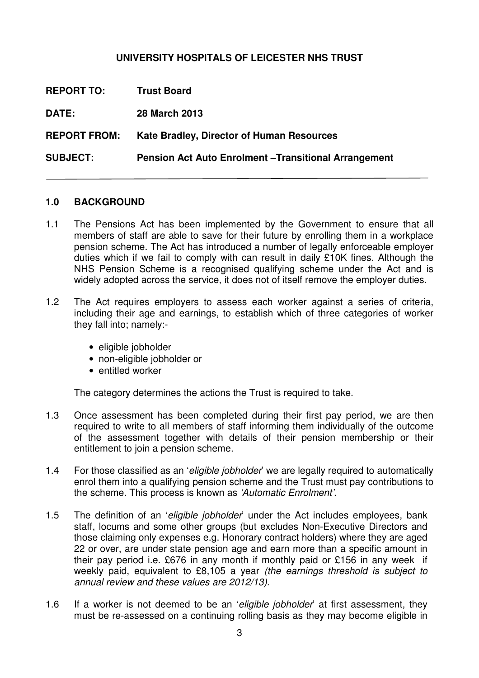### **UNIVERSITY HOSPITALS OF LEICESTER NHS TRUST**

| <b>REPORT TO:</b>   | <b>Trust Board</b>                                           |
|---------------------|--------------------------------------------------------------|
| <b>DATE:</b>        | 28 March 2013                                                |
| <b>REPORT FROM:</b> | Kate Bradley, Director of Human Resources                    |
| <b>SUBJECT:</b>     | <b>Pension Act Auto Enrolment – Transitional Arrangement</b> |

#### **1.0 BACKGROUND**

- 1.1 The Pensions Act has been implemented by the Government to ensure that all members of staff are able to save for their future by enrolling them in a workplace pension scheme. The Act has introduced a number of legally enforceable employer duties which if we fail to comply with can result in daily £10K fines. Although the NHS Pension Scheme is a recognised qualifying scheme under the Act and is widely adopted across the service, it does not of itself remove the employer duties.
- 1.2 The Act requires employers to assess each worker against a series of criteria, including their age and earnings, to establish which of three categories of worker they fall into; namely:-
	- eligible jobholder
	- non-eligible jobholder or
	- entitled worker

The category determines the actions the Trust is required to take.

- 1.3 Once assessment has been completed during their first pay period, we are then required to write to all members of staff informing them individually of the outcome of the assessment together with details of their pension membership or their entitlement to join a pension scheme.
- 1.4 For those classified as an 'eligible jobholder' we are legally required to automatically enrol them into a qualifying pension scheme and the Trust must pay contributions to the scheme. This process is known as 'Automatic Enrolment'.
- 1.5 The definition of an 'eligible jobholder' under the Act includes employees, bank staff, locums and some other groups (but excludes Non-Executive Directors and those claiming only expenses e.g. Honorary contract holders) where they are aged 22 or over, are under state pension age and earn more than a specific amount in their pay period i.e. £676 in any month if monthly paid or £156 in any week if weekly paid, equivalent to £8,105 a year (the earnings threshold is subject to annual review and these values are 2012/13).
- 1.6 If a worker is not deemed to be an 'eligible jobholder' at first assessment, they must be re-assessed on a continuing rolling basis as they may become eligible in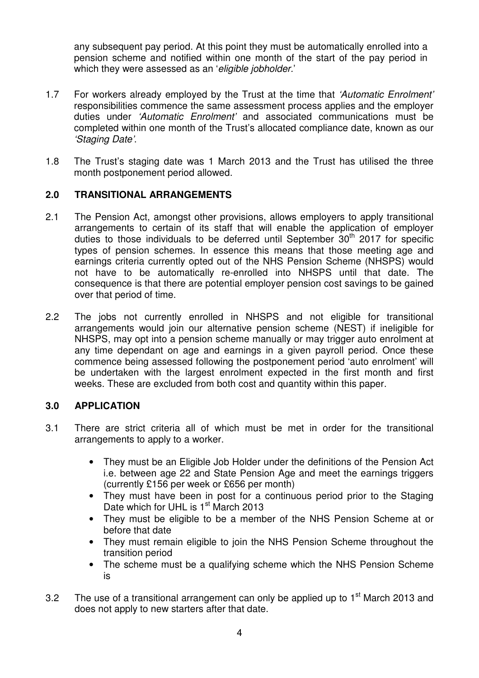any subsequent pay period. At this point they must be automatically enrolled into a pension scheme and notified within one month of the start of the pay period in which they were assessed as an 'eligible jobholder.'

- 1.7 For workers already employed by the Trust at the time that 'Automatic Enrolment' responsibilities commence the same assessment process applies and the employer duties under 'Automatic Enrolment' and associated communications must be completed within one month of the Trust's allocated compliance date, known as our 'Staging Date'.
- 1.8 The Trust's staging date was 1 March 2013 and the Trust has utilised the three month postponement period allowed.

# **2.0 TRANSITIONAL ARRANGEMENTS**

- 2.1 The Pension Act, amongst other provisions, allows employers to apply transitional arrangements to certain of its staff that will enable the application of employer duties to those individuals to be deferred until September  $30<sup>th</sup>$  2017 for specific types of pension schemes. In essence this means that those meeting age and earnings criteria currently opted out of the NHS Pension Scheme (NHSPS) would not have to be automatically re-enrolled into NHSPS until that date. The consequence is that there are potential employer pension cost savings to be gained over that period of time.
- 2.2 The jobs not currently enrolled in NHSPS and not eligible for transitional arrangements would join our alternative pension scheme (NEST) if ineligible for NHSPS, may opt into a pension scheme manually or may trigger auto enrolment at any time dependant on age and earnings in a given payroll period. Once these commence being assessed following the postponement period 'auto enrolment' will be undertaken with the largest enrolment expected in the first month and first weeks. These are excluded from both cost and quantity within this paper.

# **3.0 APPLICATION**

- 3.1 There are strict criteria all of which must be met in order for the transitional arrangements to apply to a worker.
	- They must be an Eligible Job Holder under the definitions of the Pension Act i.e. between age 22 and State Pension Age and meet the earnings triggers (currently £156 per week or £656 per month)
	- They must have been in post for a continuous period prior to the Staging Date which for UHL is 1<sup>st</sup> March 2013
	- They must be eligible to be a member of the NHS Pension Scheme at or before that date
	- They must remain eligible to join the NHS Pension Scheme throughout the transition period
	- The scheme must be a qualifying scheme which the NHS Pension Scheme is
- 3.2 The use of a transitional arrangement can only be applied up to  $1<sup>st</sup>$  March 2013 and does not apply to new starters after that date.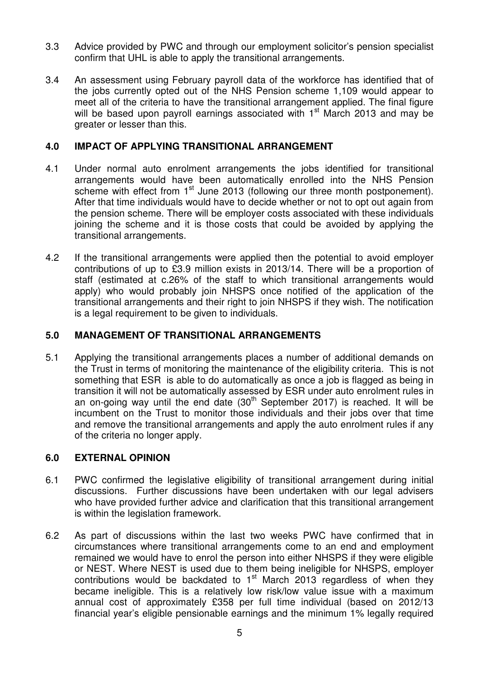- 3.3 Advice provided by PWC and through our employment solicitor's pension specialist confirm that UHL is able to apply the transitional arrangements.
- 3.4 An assessment using February payroll data of the workforce has identified that of the jobs currently opted out of the NHS Pension scheme 1,109 would appear to meet all of the criteria to have the transitional arrangement applied. The final figure will be based upon payroll earnings associated with 1<sup>st</sup> March 2013 and may be greater or lesser than this.

### **4.0 IMPACT OF APPLYING TRANSITIONAL ARRANGEMENT**

- 4.1 Under normal auto enrolment arrangements the jobs identified for transitional arrangements would have been automatically enrolled into the NHS Pension scheme with effect from 1<sup>st</sup> June 2013 (following our three month postponement). After that time individuals would have to decide whether or not to opt out again from the pension scheme. There will be employer costs associated with these individuals joining the scheme and it is those costs that could be avoided by applying the transitional arrangements.
- 4.2 If the transitional arrangements were applied then the potential to avoid employer contributions of up to £3.9 million exists in 2013/14. There will be a proportion of staff (estimated at c.26% of the staff to which transitional arrangements would apply) who would probably join NHSPS once notified of the application of the transitional arrangements and their right to join NHSPS if they wish. The notification is a legal requirement to be given to individuals.

# **5.0 MANAGEMENT OF TRANSITIONAL ARRANGEMENTS**

5.1 Applying the transitional arrangements places a number of additional demands on the Trust in terms of monitoring the maintenance of the eligibility criteria. This is not something that ESR is able to do automatically as once a job is flagged as being in transition it will not be automatically assessed by ESR under auto enrolment rules in an on-going way until the end date  $(30<sup>th</sup>$  September 2017) is reached. It will be incumbent on the Trust to monitor those individuals and their jobs over that time and remove the transitional arrangements and apply the auto enrolment rules if any of the criteria no longer apply.

# **6.0 EXTERNAL OPINION**

- 6.1 PWC confirmed the legislative eligibility of transitional arrangement during initial discussions. Further discussions have been undertaken with our legal advisers who have provided further advice and clarification that this transitional arrangement is within the legislation framework.
- 6.2 As part of discussions within the last two weeks PWC have confirmed that in circumstances where transitional arrangements come to an end and employment remained we would have to enrol the person into either NHSPS if they were eligible or NEST. Where NEST is used due to them being ineligible for NHSPS, employer contributions would be backdated to  $1<sup>st</sup>$  March 2013 regardless of when they became ineligible. This is a relatively low risk/low value issue with a maximum annual cost of approximately £358 per full time individual (based on 2012/13 financial year's eligible pensionable earnings and the minimum 1% legally required